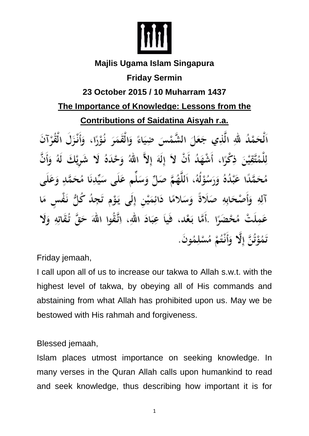

#### **Majlis Ugama Islam Singapura**

# **Friday Sermin**

# **23 October 2015 / 10 Muharram 1437**

# **The Importance of Knowledge: Lessons from the**

**Contributions of Saidatina Aisyah r.a.**

اَلْحَمْدُ لَّهِ الَّذِي جَعَلَ الشَّمْسَ ضِيَاءً وَالْقَمَرَ نُوْرًا، وَأَنْزَلَ الْقُرْآنَ لِلْمُتَّقِيْنَ ذِكْرًا، أَشْهَدُ أَنْ لاَ إِلَهَ إِلاَّ اللهُ وَحْدَهُ لَا شَرِيْكَ لَهُ وَأَنَّ مُحَمَّدًا عَبْدُهُ وَرَسُوْلُهُ، اَللَّهُمَّ صَلِّ وَسَلِّم عَلَى سَيِّدِنَا مُحَمَّدٍ وَعَلَى آلِهِ وَأَصْحَابِهِ صَلَاةً وَسَلامًا دَائِمَيْنِ إِلَى يَوْمِ تَجِدُ كُلُّ نَفْسٍ مَا عَمِلَتْ مُحْضَرًا ۚ أَمَّا بَعْد، فَياَ عِبَادَ اللهِ، اِتَّقُوا اللهَ حَقَّ تُقَاتِهِ وَلَا تَمُوْتُنَّ إِلَّا ۖ وَأَنْتُمْ مُسْلِمُونَ.

Friday jemaah,

I call upon all of us to increase our takwa to Allah s.w.t. with the highest level of takwa, by obeying all of His commands and abstaining from what Allah has prohibited upon us. May we be bestowed with His rahmah and forgiveness.

Blessed jemaah,

Islam places utmost importance on seeking knowledge. In many verses in the Quran Allah calls upon humankind to read and seek knowledge, thus describing how important it is for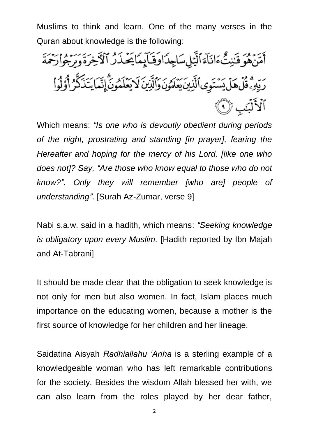Muslims to think and learn. One of the many verses in the Quran about knowledge is the following:

أَمَّنَهُوَ قَنِيتٌ ءَانَآءَ ٱلَّيَٰلِسَاجِدَاوَقَآيِمَايَحۡذَرُ ٱلۡأَخِرَةَ وَرَجُوا۟رَحۡمَةَ رَبِّهِۦؖ قُلۡ هَلۡ يَسۡتَوِى ٱلَّذِينَ يَعۡلَمُونَ وَٱلَّذِينَ لَا يَعۡلَمُونَّ إِنَّمَا يَتَذَكَّرُ أَوْلُواْ ٱلْأَلَّبَٰبِ ۞

Which means: *"Is one who is devoutly obedient during periods of the night, prostrating and standing [in prayer], fearing the Hereafter and hoping for the mercy of his Lord, [like one who does not]? Say, "Are those who know equal to those who do not know?". Only they will remember [who are] people of understanding"*. [Surah Az-Zumar, verse 9]

Nabi s.a.w. said in a hadith, which means: *"Seeking knowledge is obligatory upon every Muslim.* [Hadith reported by Ibn Majah and At-Tabrani]

It should be made clear that the obligation to seek knowledge is not only for men but also women. In fact, Islam places much importance on the educating women, because a mother is the first source of knowledge for her children and her lineage.

Saidatina Aisyah *Radhiallahu 'Anha* is a sterling example of a knowledgeable woman who has left remarkable contributions for the society. Besides the wisdom Allah blessed her with, we can also learn from the roles played by her dear father,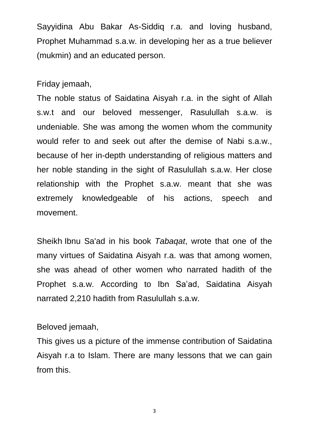Sayyidina Abu Bakar As-Siddiq r.a. and loving husband, Prophet Muhammad s.a.w. in developing her as a true believer (mukmin) and an educated person.

Friday jemaah,

The noble status of Saidatina Aisyah r.a. in the sight of Allah s.w.t and our beloved messenger, Rasulullah s.a.w. is undeniable. She was among the women whom the community would refer to and seek out after the demise of Nabi s.a.w., because of her in-depth understanding of religious matters and her noble standing in the sight of Rasulullah s.a.w. Her close relationship with the Prophet s.a.w. meant that she was extremely knowledgeable of his actions, speech and movement.

Sheikh Ibnu Sa'ad in his book *Tabaqat*, wrote that one of the many virtues of Saidatina Aisyah r.a. was that among women, she was ahead of other women who narrated hadith of the Prophet s.a.w. According to Ibn Sa'ad, Saidatina Aisyah narrated 2,210 hadith from Rasulullah s.a.w.

#### Beloved jemaah,

This gives us a picture of the immense contribution of Saidatina Aisyah r.a to Islam. There are many lessons that we can gain from this.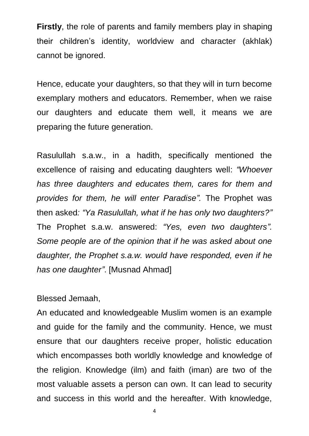**Firstly**, the role of parents and family members play in shaping their children's identity, worldview and character (akhlak) cannot be ignored.

Hence, educate your daughters, so that they will in turn become exemplary mothers and educators. Remember, when we raise our daughters and educate them well, it means we are preparing the future generation.

Rasulullah s.a.w., in a hadith, specifically mentioned the excellence of raising and educating daughters well: *"Whoever has three daughters and educates them, cares for them and provides for them, he will enter Paradise".* The Prophet was then asked*: "Ya Rasulullah, what if he has only two daughters?"* The Prophet s.a.w. answered: *"Yes, even two daughters". Some people are of the opinion that if he was asked about one daughter, the Prophet s.a.w. would have responded, even if he has one daughter"*. [Musnad Ahmad]

#### Blessed Jemaah,

An educated and knowledgeable Muslim women is an example and guide for the family and the community. Hence, we must ensure that our daughters receive proper, holistic education which encompasses both worldly knowledge and knowledge of the religion. Knowledge (ilm) and faith (iman) are two of the most valuable assets a person can own. It can lead to security and success in this world and the hereafter. With knowledge,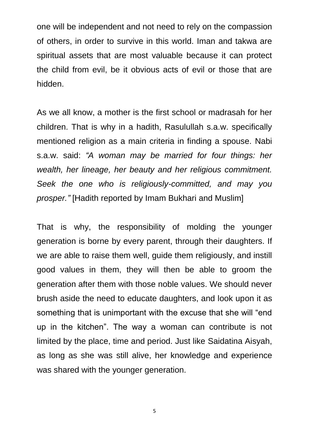one will be independent and not need to rely on the compassion of others, in order to survive in this world. Iman and takwa are spiritual assets that are most valuable because it can protect the child from evil, be it obvious acts of evil or those that are hidden.

As we all know, a mother is the first school or madrasah for her children. That is why in a hadith, Rasulullah s.a.w. specifically mentioned religion as a main criteria in finding a spouse. Nabi s.a.w. said: *"A woman may be married for four things: her wealth, her lineage, her beauty and her religious commitment. Seek the one who is religiously-committed, and may you prosper."* [Hadith reported by Imam Bukhari and Muslim]

That is why, the responsibility of molding the younger generation is borne by every parent, through their daughters. If we are able to raise them well, guide them religiously, and instill good values in them, they will then be able to groom the generation after them with those noble values. We should never brush aside the need to educate daughters, and look upon it as something that is unimportant with the excuse that she will "end up in the kitchen". The way a woman can contribute is not limited by the place, time and period. Just like Saidatina Aisyah, as long as she was still alive, her knowledge and experience was shared with the younger generation.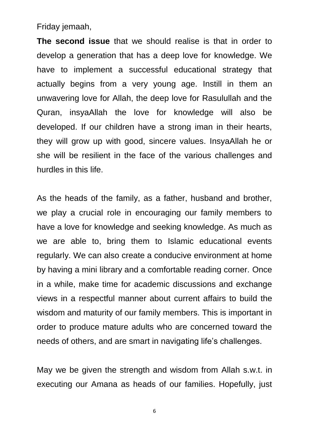Friday jemaah,

**The second issue** that we should realise is that in order to develop a generation that has a deep love for knowledge. We have to implement a successful educational strategy that actually begins from a very young age. Instill in them an unwavering love for Allah, the deep love for Rasulullah and the Quran, insyaAllah the love for knowledge will also be developed. If our children have a strong iman in their hearts, they will grow up with good, sincere values. InsyaAllah he or she will be resilient in the face of the various challenges and hurdles in this life.

As the heads of the family, as a father, husband and brother, we play a crucial role in encouraging our family members to have a love for knowledge and seeking knowledge. As much as we are able to, bring them to Islamic educational events regularly. We can also create a conducive environment at home by having a mini library and a comfortable reading corner. Once in a while, make time for academic discussions and exchange views in a respectful manner about current affairs to build the wisdom and maturity of our family members. This is important in order to produce mature adults who are concerned toward the needs of others, and are smart in navigating life's challenges.

May we be given the strength and wisdom from Allah s.w.t. in executing our Amana as heads of our families. Hopefully, just